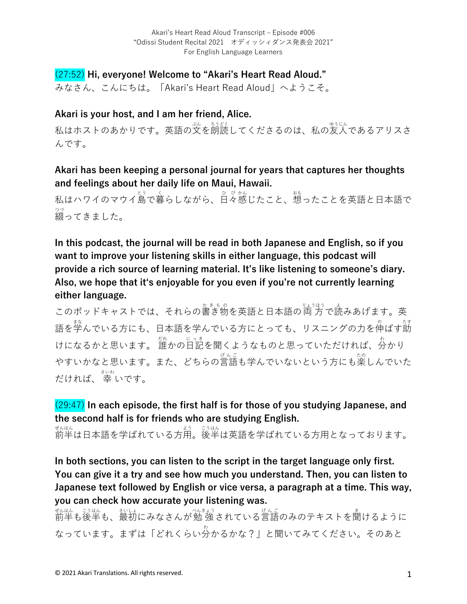# (27:52) **Hi, everyone! Welcome to "Akari's Heart Read Aloud."**

みなさん、こんにちは。「Akari's Heart Read Aloud」へようこそ。

#### **Akari is your host, and I am her friend, Alice.**

私はホストのあかりです。英語の文を朗読してくださるのは、私の友人であるアリスさ んです。

### **Akari has been keeping a personal journal for years that captures her thoughts and feelings about her daily life on Maui, Hawaii.**

私はハワイのマウイ島で暮らしながら、日々感じたこと、想ったことを英語と日本語で 綴 つづ ってきました。

**In this podcast, the journal will be read in both Japanese and English, so if you want to improve your listening skills in either language, this podcast will provide a rich source of learning material. It's like listening to someone's diary. Also, we hope that itʻs enjoyable for you even if you're not currently learning either language.**

このポッドキャストでは、それらの書き物を英語と日本語の両方で読みあげます。英 語を学んでいる方にも、日本語を学んでいる方にとっても、リスニングの力を伸ばす莇 けになるかと思います。 誰かの旨記を聞くようなものと思っていただければ、分かり やすいかなと思います。また、どちらの言語も学んでいないという方にも楽しんでいた だければ、 幸 さいわ いです。

# (29:47) **In each episode, the first half is for those of you studying Japanese, and the second half is for friends who are studying English.**

ぜんはん<br>前半は日本語を学ばれている方用。後半は英語を学ばれている方用となっております。

**In both sections, you can listen to the script in the target language only first. You can give it a try and see how much you understand. Then, you can listen to Japanese text followed by English or vice versa, a paragraph at a time. This way, you can check how accurate your listening was.**

ぜんはん。 ジはん、 おいはん ぶんこう きんこう しんごう あいしょう きょういんはん こうはん こうはん なっています。まずは「どれくらい分 わ かるかな?」と聞いてみてください。そのあと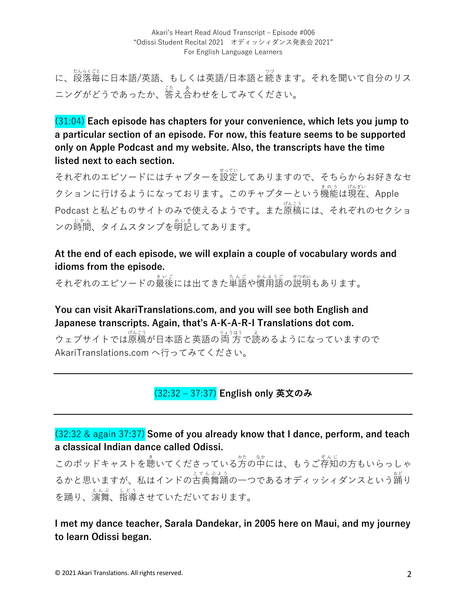に、<sub>段落年に日本語/英語、もしくは英語/日本語と続きます。それを聞いて自分のリス</sub> ニングがどうであったか、<sup>法</sup>え合わせをしてみてください。

(31:04) **Each episode has chapters for your convenience, which lets you jump to a particular section of an episode. For now, this feature seems to be supported only on Apple Podcast and my website. Also, the transcripts have the time listed next to each section.**

それぞれのエピソードにはチャプターを設定してありますので、そちらからお好きなセ クションに行けるようになっております。このチャプターという機能は現在、Apple Podcast と私どものサイトのみで使えるようです。また原稿 げんこう には、それぞれのセクショ <sub>ンの時間、タイムスタンプを明記してあります。</sub>

### **At the end of each episode, we will explain a couple of vocabulary words and idioms from the episode.**

それぞれのエピソードの最後には出てきた単語や慣用語の説明もあります。

**You can visit AkariTranslations.com, and you will see both English and Japanese transcripts. Again, that's A-K-A-R-I Translations dot com.**

ウェブサイトでは原稿が日本語と英語の両方で読めるようになっていますので AkariTranslations.com へ行ってみてください。

# (32:32 ‒ 37:37) **English only 英⽂のみ**

## (32:32 & again 37:37) **Some of you already know that I dance, perform, and teach a classical Indian dance called Odissi.**

このポッドキャストを聴いてくださっている方の中には、もうご存知の方もいらっしゃ るかと思いますが、私はインドの古典舞踊の一つであるオディッシィダンスという踊り を踊り、演舞 えんぶ 、指導 しどう させていただいております。

**I met my dance teacher, Sarala Dandekar, in 2005 here on Maui, and my journey to learn Odissi began.**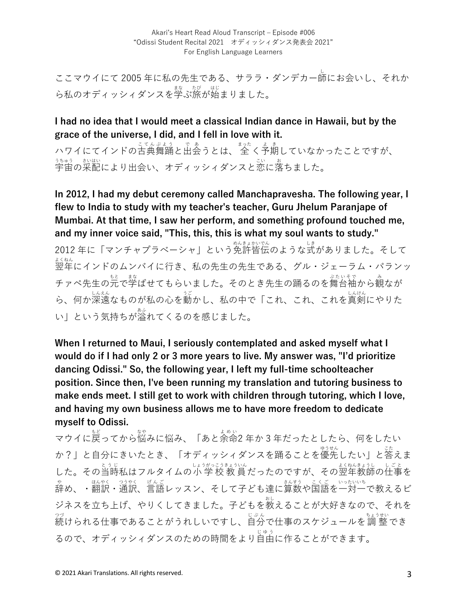ここマウイにて 2005 年に私の先⽣である、サララ・ダンデカー師 し にお会いし、それか ら私のオディッシィダンスを学ぶ旅が始まりました。

**I had no idea that I would meet a classical Indian dance in Hawaii, but by the grace of the universe, I did, and I fell in love with it.**

ハワイにてインドの古典舞踊と出会うとは、 <sup>まった</sup>く予期していなかったことですが、 うま。<br>宇宙の采配により出会い、オディッシィダンスと恋に落ちました。

**In 2012, I had my debut ceremony called Manchapravesha. The following year, I flew to India to study with my teacher's teacher, Guru Jhelum Paranjape of Mumbai. At that time, I saw her perform, and something profound touched me, and my inner voice said, "This, this, this is what my soul wants to study."** 

2012 年に「マンチャプラべーシャ」という免許皆伝 めんきょかいでん のような式 しき がありました。そして ょ、。。<br>翌年にインドのムンバイに行き、私の先生の先生である、グル・ジェーラム・パランッ チァペ先生の元で学ばせてもらいました。そのとき先生の踊るのを舞台袖から観なが ら、何か深遠なものが私の心を動かし、私の中で「これ、これ、これを真剣にやりた い」という気持ちが溢 あふ れてくるのを感じました。

**When I returned to Maui, I seriously contemplated and asked myself what I would do if I had only 2 or 3 more years to live. My answer was, "I'd prioritize dancing Odissi." So, the following year, I left my full-time schoolteacher position. Since then, I've been running my translation and tutoring business to make ends meet. I still get to work with children through tutoring, which I love, and having my own business allows me to have more freedom to dedicate myself to Odissi.**

マウイに戻ってから悩みに悩み、「あと余命2年か3年だったとしたら、何をしたい か?」と自分にきいたとき、「オディッシィダンスを踊ることを優先したい」と答えま した。その当時私はフルタイムの小 学 校 教 員 だったのですが、その翌年教師の仕事を ゃ。<br>辞め、・翻訳・通訳、言語レッスン、そして子ども達に算数や国語を一対一で教えるビ ジネスを立ち上げ、やりくしてきました。子どもを教えることが大好きなので、それを 。。<br>続けられる仕事であることがうれしいですし、自分で仕事のスケジュールを調 整でき るので、オディッシィダンスのための時間をより自由に作ることができます。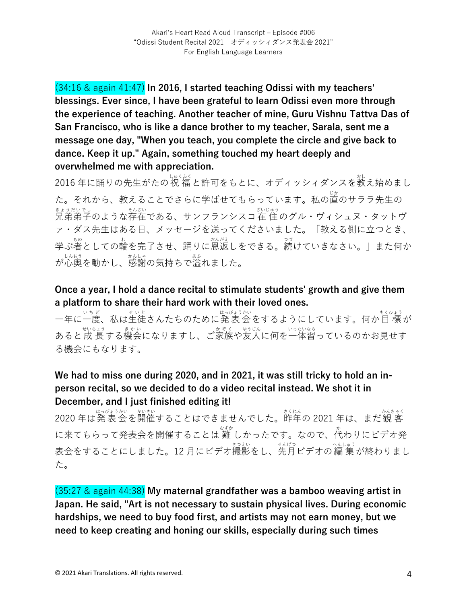(34:16 & again 41:47) **In 2016, I started teaching Odissi with my teachers' blessings. Ever since, I have been grateful to learn Odissi even more through the experience of teaching. Another teacher of mine, Guru Vishnu Tattva Das of San Francisco, who is like a dance brother to my teacher, Sarala, sent me a message one day, "When you teach, you complete the circle and give back to dance. Keep it up." Again, something touched my heart deeply and overwhelmed me with appreciation.**

。<br>2016 年に踊りの先生がたの祝 福と許可をもとに、オディッシィダンスを教え始めまし た。それから、教えることでさらに学ばせてもらっています。私の直のサララ先生の まょうだいでし<br>兄弟弟子のような存在である、サンフランシスコ在 住 のグル・ヴィシュヌ・タットヴ ァ・ダス先⽣はある⽇、メッセージを送ってくださいました。「教える側に⽴つとき、 学ぶ者としての輪を完了させ、踊りに恩返しをできる。*ങ*<br>1. こうないきなさい。」また何か が⼼奥 しんおう を動かし、感謝 かんしゃ の気持ちで溢 あふ れました。

**Once a year, I hold a dance recital to stimulate students' growth and give them a platform to share their hard work with their loved ones.**

一年に一度、私は生徒さんたちのために発 表 会 をするようにしています。何か目 標 が あると成長する機会になりますし、ご家族や友人に何を一体習っているのかお見せす る機会にもなります。

## **We had to miss one during 2020, and in 2021, it was still tricky to hold an inperson recital, so we decided to do a video recital instead. We shot it in December, and I just finished editing it!**

- مستشرق من من سبق من من من من من من المناسب بن المناسب من المناسب بن المناسب بن المناسب بن المناسب و 2020 年は発 <br>2020 年は発 表 会 を開催することはできませんでした。昨年の 2021 年は、まだ観 客 に来てもらって発表会を開催することは 難 しかったです。なので、代わりにビデオ発 ま会をすることにしました。12 月にビデオ撮影をし、先月ビデオの編 集 が終わりまし た。

(35:27 & again 44:38) **My maternal grandfather was a bamboo weaving artist in Japan. He said, "Art is not necessary to sustain physical lives. During economic hardships, we need to buy food first, and artists may not earn money, but we need to keep creating and honing our skills, especially during such times**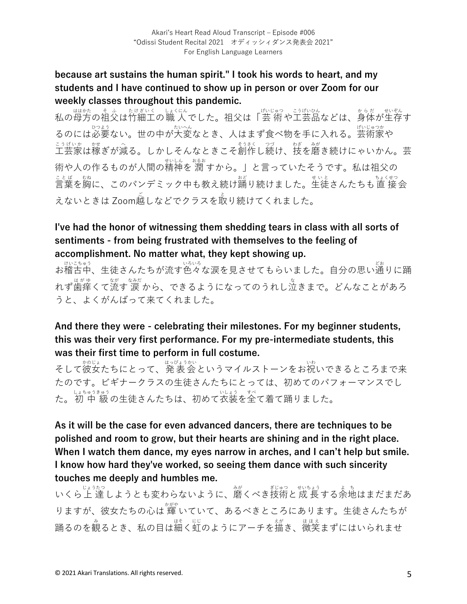#### **because art sustains the human spirit." I took his words to heart, and my students and I have continued to show up in person or over Zoom for our weekly classes throughout this pandemic.**

私の母方の祖父は竹細工の職 人でした。祖父は「芸 術や工芸品などは、身体が生存す るのには必要ない。世の中が大変なとき、人はまず食べ物を手に入れる。芸術家や こうげいか が、。。。。<br>工芸家は稼ぎが減る。しかしそんなときこそ創作し続け、技を磨き続けにゃいかん。芸 術や人の作るものが人間の精神を 潤 すから。」と言っていたそうです。私は祖父の ことば、 <sub>むね</sub><br>言葉を胸に、このパンデミック中も教え続け踊り続けました。生徒さんたちも直 接 会 えないときは Zoom越しなどでクラスを取り続けてくれました。

# **I've had the honor of witnessing them shedding tears in class with all sorts of sentiments - from being frustrated with themselves to the feeling of accomplishment. No matter what, they kept showing up.**

、<sub>はいるゅう</sub><br>お稽古中、生徒さんたちが流す色々な涙を見させてもらいました。自分の思い通りに踊 けいこちゅう れず歯痒くて流す 涼<sub>なだ</sub><br>れず歯痒くて流す 涙 から、できるようになってのうれし泣きまで。どんなことがあろ うと、よくがんばって来てくれました。

## **And there they were - celebrating their milestones. For my beginner students, this was their very first performance. For my pre-intermediate students, this was their first time to perform in full costume.**

そして彼女たちにとって、発表会というマイルストーンをお祝いできるところまで来 たのです。ビギナークラスの⽣徒さんたちにとっては、初めてのパフォーマンスでし た。初 中 級の生徒さんたちは、初めて衣装を全て着て踊りました。

**As it will be the case for even advanced dancers, there are techniques to be polished and room to grow, but their hearts are shining and in the right place. When I watch them dance, my eyes narrow in arches, and I can't help but smile. I know how hard they've worked, so seeing them dance with such sincerity touches me deeply and humbles me.**

いくら上 達しようとも変わらないように、磨くべき技術と成 長する余地はまだまだあ りますが、彼女たちの心は 輝 いていて、あるべきところにあります。生徒さんたちが 踊るのを観るとき、私の目は細く虹のようにアーチを描き、微笑まずにはいられませ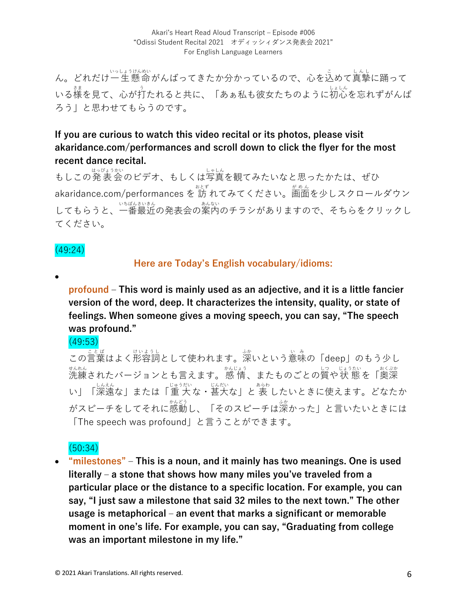Akari's Heart Read Aloud Transcript - Episode #006 "Odissi Student Recital 2021 オディッシィダンス発表会 2021" For English Language Learners

ん。どれだけ一生懸命がんばってきたか分かっているので、心を込めて真摯に踊って いる様を見て、心が打たれると共に、「あぁ私も彼女たちのように初心を忘れずがんば ろう」と思わせてもらうのです。

#### **If you are curious to watch this video recital or its photos, please visit akaridance.com/performances and scroll down to click the flyer for the most recent dance recital.**

もしこの発表会のビデオ、もしくは写真を観てみたいなと思ったかたは、ぜひ akaridance.com/performances を 訪 れてみてください。<sup>がめん</sup><br>ークレスクロールダウン してもらうと、一番最近の発表会の案内のチラシがありますので、そちらをクリックし てください。

#### (49:24)

#### **Here are Today's English vocabulary/idioms:**

•

**profound ‒ This word is mainly used as an adjective, and it is a little fancier version of the word, deep. It characterizes the intensity, quality, or state of feelings. When someone gives a moving speech, you can say, "The speech was profound."**

(49:53)

この言葉はよく形容詞として使われます。深いという意味の「deep」のもう少し <sub>せんれん</sub><br>洗練されたバージョンとも言えます。感 情、またものごとの質や状 態を「奥深 い」「ぷふ゛」または「重 大な・説む、」と表 したいときに使えます。どなたか がスピーチをしてそれに感動し、「そのスピーチは深かった」と言いたいときには 「The speech was profound」と⾔うことができます。

## (50:34)

• **"milestones" ‒ This is a noun, and it mainly has two meanings. One is used literally ‒ a stone that shows how many miles you've traveled from a particular place or the distance to a specific location. For example, you can say, "I just saw a milestone that said 32 miles to the next town." The other usage is metaphorical ‒ an event that marks a significant or memorable moment in one's life. For example, you can say, "Graduating from college was an important milestone in my life."**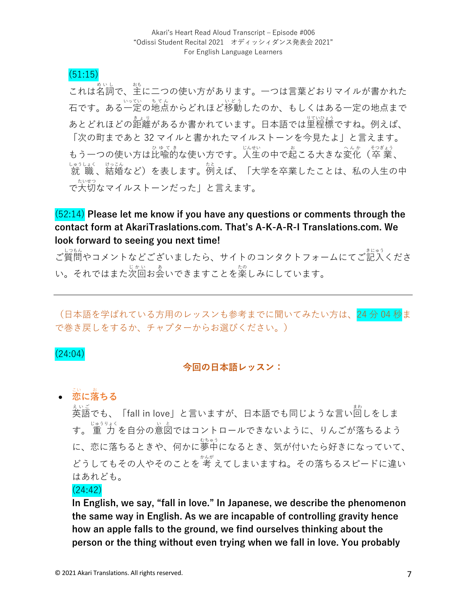#### (51:15)

これは名詞で、主に二つの使い方があります。一つは言葉どおりマイルが書かれた 石です。ある一定の地点からどれほど<sup>ほう</sup>したのか、もしくはある一定の地点まで あとどれほどの距離があるか書かれています。日本語では里程標ですね。例えば、 「次の町まであと32 マイルと書かれたマイルストーンを今見たよ」と言えます。 もう一つの使い方は比喩的な使い方です。人生の中で起こる大きな変化(卒 業、 しゅうしょく はっこん<br>「就 職 、結婚など)を表します。例えば、「大学を卒業したことは、私の人生の中 ~☆いも。<br>で大切なマイルストーンだった」と言えます。

### (52:14) **Please let me know if you have any questions or comments through the contact form at AkariTraslations.com. That's A-K-A-R-I Translations.com. We look forward to seeing you next time!**

ご質問やコメントなどございましたら、サイトのコンタクトフォームにてご記入くださ い。それではまた次回お会いできますことを楽しみにしています。

(日本語を学ばれている方用のレッスンも参考までに聞いてみたい方は、24分04秒ま で巻き戻しをするか、チャプターからお選びください。)

#### (24:04)

#### **今回の⽇本語レッスン:**

#### • **恋 に落 ちる** こい お

ぇ、。。<br>英語でも、「fall in love」と言いますが、日本語でも同じような言い回しをしま す。 重 ⼒ じゅうりょく を⾃分の意図 い と ではコントロールできないように、りんごが落ちるよう に、恋に落ちるときや、何かに夢中になるとき、気が付いたら好きになっていて、 どうしてもその人やそのことを 考 えてしまいますね。その落ちるスピードに違い はあれども。

#### (24:42)

**In English, we say, "fall in love." In Japanese, we describe the phenomenon the same way in English. As we are incapable of controlling gravity hence how an apple falls to the ground, we find ourselves thinking about the person or the thing without even trying when we fall in love. You probably**